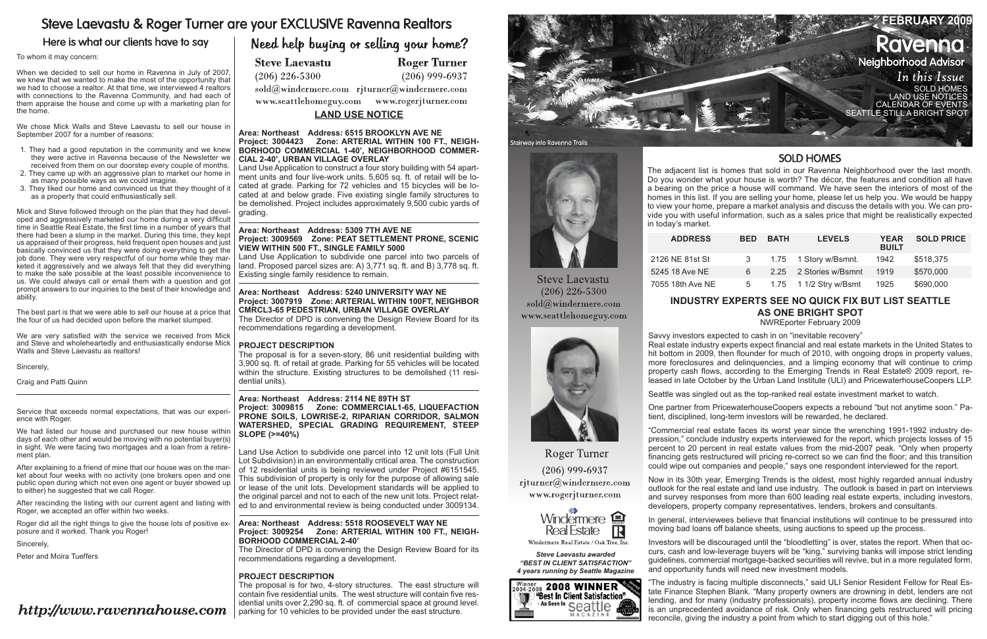# Steve Laevastu & Roger Turner are your EXCLUSIVE Ravenna Realtors

## Here is what our clients have to say

### To whom it may concern:

When we decided to sell our home in Ravenna in July of 2007, we knew that we wanted to make the most of the opportunity that we had to choose a realtor. At that time, we interviewed 4 realtors with connections to the Ravenna Community, and had each of them appraise the house and come up with a marketing plan for the home.

We chose Mick Walls and Steve Laevastu to sell our house in September 2007 for a number of reasons:

- 1. They had a good reputation in the community and we knew they were active in Ravenna because of the Newsletter we received from them on our doorstep every couple of months.
- 2. They came up with an aggressive plan to market our home in as many possible ways as we could imagine.
- 3. They liked our home and convinced us that they thought of it as a property that could enthusiastically sell.

We had listed our house and purchased our new house within days of each other and would be moving with no potential buyer(s) in sight. We were facing two mortgages and a loan from a retirement plan.

Mick and Steve followed through on the plan that they had developed and aggressively marketed our home during a very difficult time in Seattle Real Estate, the first time in a number of years that there had been a slump in the market. During this time, they kept us appraised of their progress, held frequent open houses and just basically convinced us that they were doing everything to get the job done. They were very respectful of our home while they marketed it aggressively and we always felt that they did everything to make the sale possible at the least possible inconvenience to us. We could always call or email them with a question and got prompt answers to our inquiries to the best of their knowledge and ability.

The best part is that we were able to sell our house at a price that the four of us had decided upon before the market slumped.

We are very satisfied with the service we received from Mick and Steve and wholeheartedly and enthusiastically endorse Mick Walls and Steve Laevastu as realtors!





**Steve Laevastu**  $(206)$  226-5300 sold@windermere.com www.seattlehomeguy.com

Sincerely,

Craig and Patti Quinn

Service that exceeds normal expectations, that was our experience with Roger.

After explaining to a friend of mine that our house was on the market about four weeks with no activity (one brokers open and one public open during which not even one agent or buyer showed up to either) he suggested that we call Roger.

After rescinding the listing with our current agent and listing with Roger, we accepted an offer within two weeks.

Roger did all the right things to give the house lots of positive exposure and it worked. Thank you Roger!

Sincerely,

Peter and Moira Tueffers

# http://www.ravennahouse.com

# Need help buying or selling your home?

**Steve Laevastu** 

 $(206)$  226-5300

sold@windermere.com rjturner@windermere.com

**Roger Turner** 

 $(206)$  999-6937

www.seattlehomeguy.com www.rogerjturner.com

The adjacent list is homes that sold in our Ravenna Neighborhood over the last month. Do you wonder what your house is worth? The décor, the features and condition all have a bearing on the price a house will command. We have seen the interiors of most of the homes in this list. If you are selling your home, please let us help you. We would be happy to view your home, prepare a market analysis and discuss the details with you. We can provide you with useful information, such as a sales price that might be realistically expected

The proposal is for two, 4-story structures. The east structure will contain five residential units. The west structure will contain five residential units over 2,290 sq. ft. of commercial space at ground level.  $\langle$  parking for 10 vehicles to be provided under the east structure.

in today's market.

 $ADDRESS$ 

2126 NE 81st St 5245 18 Ave NE 7055 18th Ave NE

| <b>BED</b> | <b>BATH</b> | <b>LEVELS</b>          | <b>YEAR</b><br><b>BUILT</b> | <b>SOLD PRICE</b> |
|------------|-------------|------------------------|-----------------------------|-------------------|
| 3          |             | 1.75 1 Story w/Bsmnt.  | 1942                        | \$518,375         |
| 6          |             | 2.25 2 Stories w/Bsmnt | 1919                        | \$570,000         |
| 5          |             | 1.75 1 1/2 Stry w/Bsmt | 1925                        | \$690,000         |

*Steve Laevastu awarded "Best In Client Satisfaction" 4 years running by Seattle Magazine*

Winner 2008 WINNER "Best In Client Satisfaction"

As Seen In Seattle

MAGAZINE

'N

Real Estate Windermere Real Estate / Oak Tree, Inc.

Windermere **Q** 

E

**Roger Turner** 

 $(206)$  999-6937 rjturner@windermere.com www.rogerjturner.com

#### **Area: Northeast Address: 6515 BROOKLYN AVE NE Project: 3004423 Zone: ARTERIAL WITHIN 100 FT., NEIGH-BORHOOD COMMERCIAL 1-40', NEIGHBORHOOD COMMER-CIAL 2-40', URBAN VILLAGE OVERLAY**

Land Use Application to construct a four story building with 54 apartment units and four live-work units. 5,605 sq. ft. of retail will be located at grade. Parking for 72 vehicles and 15 bicycles will be located at and below grade. Five existing single family structures to be demolished. Project includes approximately 9,500 cubic yards of grading.

### **Area: Northeast Address: 5309 7TH AVE NE Project: 3009569 Zone: PEAT SETTLEMENT PRONE, SCENIC VIEW WITHIN 500 FT., SINGLE FAMILY 5000**

Land Use Application to subdivide one parcel into two parcels of land. Proposed parcel sizes are: A) 3,771 sq. ft. and B) 3,778 sq. ft. Existing single family residence to remain.

### **Area: Northeast Address: 5240 UNIVERSITY WAY NE Project: 3007919 Zone: ARTERIAL WITHIN 100FT, NEIGHBOR CMRCL3-65 PEDESTRIAN, URBAN VILLAGE OVERLAY**

The Director of DPD is convening the Design Review Board for its recommendations regarding a development.

### **PROJECT DESCRIPTION**

The proposal is for a seven-story, 86 unit residential building with 3,900 sq. ft. of retail at grade. Parking for 55 vehicles will be located within the structure. Existing structures to be demolished (11 residential units).

### **Area: Northeast Address: 2114 NE 89TH ST Project: 3009815 Zone: COMMERCIAL1-65, LIQUEFACTION PRONE SOILS, LOWRISE-2, RIPARIAN CORRIDOR, SALMON WATERSHED, SPECIAL GRADING REQUIREMENT, STEEP SLOPE (>=40%)**

Land Use Action to subdivide one parcel into 12 unit lots (Full Unit Lot Subdivision) in an environmentally critical area. The construction of 12 residential units is being reviewed under Project #6151545. This subdivision of property is only for the purpose of allowing sale or lease of the unit lots. Development standards will be applied to the original parcel and not to each of the new unit lots. Project related to and environmental review is being conducted under 3009134.

### **Area: Northeast Address: 5518 ROOSEVELT WAY NE Project: 3009254 Zone: ARTERIAL WITHIN 100 FT., NEIGH-BORHOOD COMMERCIAL 2-40'**

The Director of DPD is convening the Design Review Board for its recommendations regarding a development.

### **PROJECT DESCRIPTION**

### **Industry experts see no quick fix but list Seattle as one bright spot**

NWREporter February 2009

Savvy investors expected to cash in on "inevitable recovery" Real estate industry experts expect financial and real estate markets in the United States to hit bottom in 2009, then flounder for much of 2010, with ongoing drops in property values, more foreclosures and delinquencies, and a limping economy that will continue to crimp property cash flows, according to the Emerging Trends in Real Estate® 2009 report, released in late October by the Urban Land Institute (ULI) and PricewaterhouseCoopers LLP.

Seattle was singled out as the top-ranked real estate investment market to watch.

One partner from PricewaterhouseCoopers expects a rebound "but not anytime soon." Patient, disciplined, long-term investors will be rewarded, he declared.

"Commercial real estate faces its worst year since the wrenching 1991-1992 industry depression," conclude industry experts interviewed for the report, which projects losses of 15 percent to 20 percent in real estate values from the mid-2007 peak. "Only when property financing gets restructured will pricing re-correct so we can find the floor; and this transition could wipe out companies and people," says one respondent interviewed for the report.

Now in its 30th year, Emerging Trends is the oldest, most highly regarded annual industry outlook for the real estate and land use industry. The outlook is based in part on interviews and survey responses from more than 600 leading real estate experts, including investors, developers, property company representatives, lenders, brokers and consultants.

In general, interviewees believe that financial institutions will continue to be pressured into moving bad loans off balance sheets, using auctions to speed up the process.

Investors will be discouraged until the "bloodletting" is over, states the report. When that occurs, cash and low-leverage buyers will be "king," surviving banks will impose strict lending guidelines, commercial mortgage-backed securities will revive, but in a more regulated form, and opportunity funds will need new investment models.

"The industry is facing multiple disconnects," said ULI Senior Resident Fellow for Real Estate Finance Stephen Blank. "Many property owners are drowning in debt, lenders are not lending, and for many (industry professionals), property income flows are declining. There is an unprecedented avoidance of risk. Only when financing gets restructured will pricing reconcile, giving the industry a point from which to start digging out of this hole."

### **SOLD HOMES**